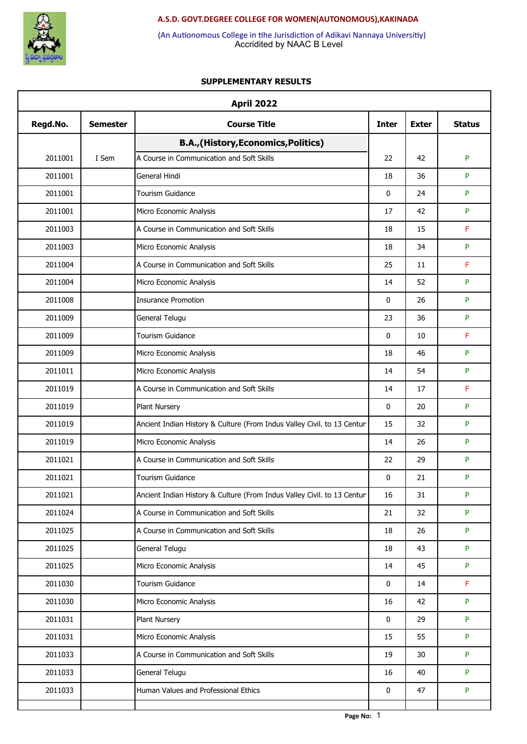

Accridited by NAAC B Level (An Autionomous College in tihe Jurisdiction of Adikavi Nannaya Universitiy)

|          |                 | <b>April 2022</b>                                                       |              |              |               |
|----------|-----------------|-------------------------------------------------------------------------|--------------|--------------|---------------|
| Regd.No. | <b>Semester</b> | <b>Course Title</b>                                                     | <b>Inter</b> | <b>Exter</b> | <b>Status</b> |
|          |                 | B.A., (History, Economics, Politics)                                    |              |              |               |
| 2011001  | I Sem           | A Course in Communication and Soft Skills                               | 22           | 42           | P             |
| 2011001  |                 | General Hindi                                                           | 18           | 36           | P             |
| 2011001  |                 | <b>Tourism Guidance</b>                                                 | 0            | 24           | P             |
| 2011001  |                 | Micro Economic Analysis                                                 | 17           | 42           | P             |
| 2011003  |                 | A Course in Communication and Soft Skills                               | 18           | 15           | F             |
| 2011003  |                 | Micro Economic Analysis                                                 | 18           | 34           | P             |
| 2011004  |                 | A Course in Communication and Soft Skills                               | 25           | 11           | F             |
| 2011004  |                 | Micro Economic Analysis                                                 | 14           | 52           | P             |
| 2011008  |                 | <b>Insurance Promotion</b>                                              | $\mathbf{0}$ | 26           | P             |
| 2011009  |                 | General Telugu                                                          | 23           | 36           | P             |
| 2011009  |                 | <b>Tourism Guidance</b>                                                 | 0            | 10           | F             |
| 2011009  |                 | Micro Economic Analysis                                                 | 18           | 46           | P             |
| 2011011  |                 | Micro Economic Analysis                                                 | 14           | 54           | P             |
| 2011019  |                 | A Course in Communication and Soft Skills                               | 14           | 17           | F             |
| 2011019  |                 | Plant Nursery                                                           | 0            | 20           | P             |
| 2011019  |                 | Ancient Indian History & Culture (From Indus Valley Civil. to 13 Centur | 15           | 32           | P             |
| 2011019  |                 | Micro Economic Analysis                                                 | 14           | 26           | P             |
| 2011021  |                 | A Course in Communication and Soft Skills                               | 22           | 29           | P             |
| 2011021  |                 | Tourism Guidance                                                        | 0            | 21           | P             |
| 2011021  |                 | Ancient Indian History & Culture (From Indus Valley Civil. to 13 Centur | 16           | 31           | P             |
| 2011024  |                 | A Course in Communication and Soft Skills                               | 21           | 32           | P             |
| 2011025  |                 | A Course in Communication and Soft Skills                               | 18           | 26           | P             |
| 2011025  |                 | General Telugu                                                          | 18           | 43           | P             |
| 2011025  |                 | Micro Economic Analysis                                                 | 14           | 45           | P             |
| 2011030  |                 | Tourism Guidance                                                        | 0            | 14           | F             |
| 2011030  |                 | Micro Economic Analysis                                                 | 16           | 42           | P             |
| 2011031  |                 | Plant Nursery                                                           | 0            | 29           | P             |
| 2011031  |                 | Micro Economic Analysis                                                 | 15           | 55           | P             |
| 2011033  |                 | A Course in Communication and Soft Skills                               | 19           | 30           | P             |
| 2011033  |                 | General Telugu                                                          | 16           | 40           | P             |
| 2011033  |                 | Human Values and Professional Ethics                                    | 0            | 47           | P             |
|          |                 |                                                                         |              |              |               |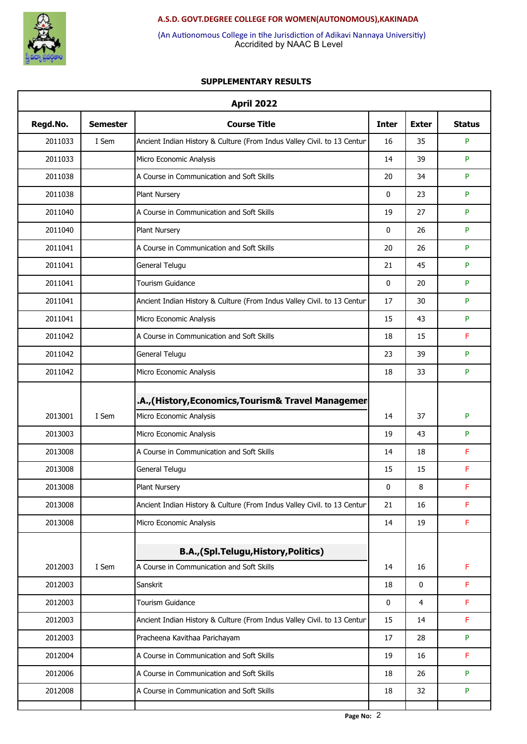

Accridited by NAAC B Level (An Autionomous College in tihe Jurisdiction of Adikavi Nannaya Universitiy)

|          |                 | <b>April 2022</b>                                                       |              |              |               |
|----------|-----------------|-------------------------------------------------------------------------|--------------|--------------|---------------|
| Regd.No. | <b>Semester</b> | <b>Course Title</b>                                                     | <b>Inter</b> | <b>Exter</b> | <b>Status</b> |
| 2011033  | I Sem           | Ancient Indian History & Culture (From Indus Valley Civil. to 13 Centur | 16           | 35           | P             |
| 2011033  |                 | Micro Economic Analysis                                                 | 14           | 39           | P             |
| 2011038  |                 | A Course in Communication and Soft Skills                               | 20           | 34           | P             |
| 2011038  |                 | Plant Nursery                                                           | 0            | 23           | P             |
| 2011040  |                 | A Course in Communication and Soft Skills                               | 19           | 27           | P             |
| 2011040  |                 | Plant Nursery                                                           | $\mathbf 0$  | 26           | P             |
| 2011041  |                 | A Course in Communication and Soft Skills                               | 20           | 26           | P             |
| 2011041  |                 | General Telugu                                                          | 21           | 45           | P             |
| 2011041  |                 | Tourism Guidance                                                        | $\mathbf 0$  | 20           | P             |
| 2011041  |                 | Ancient Indian History & Culture (From Indus Valley Civil. to 13 Centur | 17           | 30           | P             |
| 2011041  |                 | Micro Economic Analysis                                                 | 15           | 43           | P             |
| 2011042  |                 | A Course in Communication and Soft Skills                               | 18           | 15           | F             |
| 2011042  |                 | General Telugu                                                          | 23           | 39           | P             |
| 2011042  |                 | Micro Economic Analysis                                                 | 18           | 33           | P             |
|          |                 | A., (History, Economics, Tourism& Travel Managemer                      |              |              |               |
| 2013001  | I Sem           | Micro Economic Analysis                                                 | 14           | 37           | P             |
| 2013003  |                 | Micro Economic Analysis                                                 | 19           | 43           | P             |
| 2013008  |                 | A Course in Communication and Soft Skills                               | 14           | 18           | F             |
| 2013008  |                 | General Telugu                                                          | 15           | 15           | F             |
| 2013008  |                 | <b>Plant Nursery</b>                                                    | $\mathbf{0}$ | 8            | F             |
| 2013008  |                 | Ancient Indian History & Culture (From Indus Valley Civil. to 13 Centur | 21           | 16           | F             |
| 2013008  |                 | Micro Economic Analysis                                                 | 14           | 19           | F             |
|          |                 | B.A., (Spl.Telugu, History, Politics)                                   |              |              |               |
| 2012003  | I Sem           | A Course in Communication and Soft Skills                               | 14           | 16           | F             |
| 2012003  |                 | Sanskrit                                                                | 18           | 0            | F             |
| 2012003  |                 | Tourism Guidance                                                        | 0            | 4            | F             |
| 2012003  |                 | Ancient Indian History & Culture (From Indus Valley Civil. to 13 Centur | 15           | 14           | F             |
| 2012003  |                 | Pracheena Kavithaa Parichayam                                           | 17           | 28           | P             |
| 2012004  |                 | A Course in Communication and Soft Skills                               | 19           | 16           | F             |
| 2012006  |                 | A Course in Communication and Soft Skills                               | 18           | 26           | P             |
| 2012008  |                 | A Course in Communication and Soft Skills                               | 18           | 32           | P             |
|          |                 |                                                                         |              |              |               |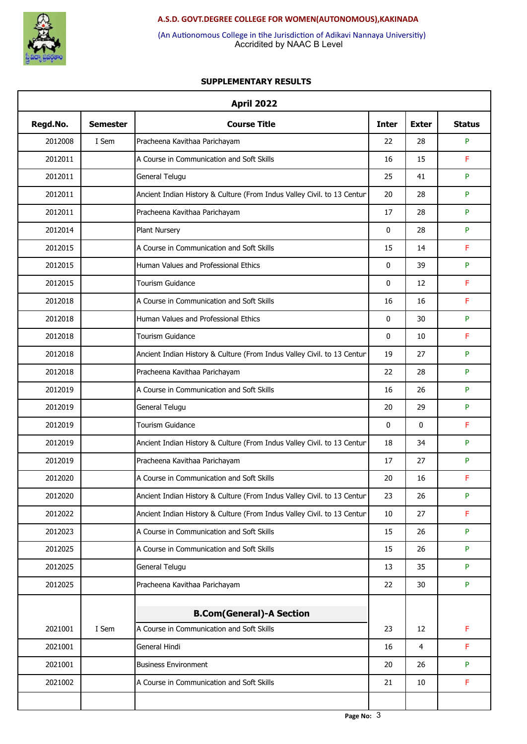

Accridited by NAAC B Level (An Autionomous College in tihe Jurisdiction of Adikavi Nannaya Universitiy)

|          |                 | <b>April 2022</b>                                                       |              |              |               |
|----------|-----------------|-------------------------------------------------------------------------|--------------|--------------|---------------|
| Regd.No. | <b>Semester</b> | <b>Course Title</b>                                                     | <b>Inter</b> | <b>Exter</b> | <b>Status</b> |
| 2012008  | I Sem           | Pracheena Kavithaa Parichayam                                           | 22           | 28           | P             |
| 2012011  |                 | A Course in Communication and Soft Skills                               | 16           | 15           | F             |
| 2012011  |                 | General Telugu                                                          | 25           | 41           | P             |
| 2012011  |                 | Ancient Indian History & Culture (From Indus Valley Civil. to 13 Centur | 20           | 28           | P             |
| 2012011  |                 | Pracheena Kavithaa Parichayam                                           | 17           | 28           | P             |
| 2012014  |                 | Plant Nursery                                                           | $\mathbf{0}$ | 28           | P             |
| 2012015  |                 | A Course in Communication and Soft Skills                               | 15           | 14           | F             |
| 2012015  |                 | Human Values and Professional Ethics                                    | 0            | 39           | P             |
| 2012015  |                 | <b>Tourism Guidance</b>                                                 | $\mathbf{0}$ | 12           | F             |
| 2012018  |                 | A Course in Communication and Soft Skills                               | 16           | 16           | F             |
| 2012018  |                 | Human Values and Professional Ethics                                    | 0            | 30           | P             |
| 2012018  |                 | <b>Tourism Guidance</b>                                                 | 0            | 10           | F             |
| 2012018  |                 | Ancient Indian History & Culture (From Indus Valley Civil. to 13 Centur | 19           | 27           | P             |
| 2012018  |                 | Pracheena Kavithaa Parichayam                                           | 22           | 28           | P             |
| 2012019  |                 | A Course in Communication and Soft Skills                               | 16           | 26           | P             |
| 2012019  |                 | General Telugu                                                          | 20           | 29           | P             |
| 2012019  |                 | <b>Tourism Guidance</b>                                                 | 0            | 0            | F             |
| 2012019  |                 | Ancient Indian History & Culture (From Indus Valley Civil. to 13 Centur | 18           | 34           | P             |
| 2012019  |                 | Pracheena Kavithaa Parichayam                                           | 17           | 27           | P             |
| 2012020  |                 | A Course in Communication and Soft Skills                               | 20           | 16           | F             |
| 2012020  |                 | Ancient Indian History & Culture (From Indus Valley Civil. to 13 Centur | 23           | 26           | P             |
| 2012022  |                 | Ancient Indian History & Culture (From Indus Valley Civil. to 13 Centur | 10           | 27           | F             |
| 2012023  |                 | A Course in Communication and Soft Skills                               | 15           | 26           | P             |
| 2012025  |                 | A Course in Communication and Soft Skills                               | 15           | 26           | P             |
| 2012025  |                 | General Telugu                                                          | 13           | 35           | P             |
| 2012025  |                 | Pracheena Kavithaa Parichayam                                           | 22           | 30           | P             |
|          |                 |                                                                         |              |              |               |
|          |                 | <b>B.Com(General)-A Section</b>                                         |              |              |               |
| 2021001  | I Sem           | A Course in Communication and Soft Skills                               | 23           | 12           | F             |
| 2021001  |                 | General Hindi                                                           | 16           | 4            | F             |
| 2021001  |                 | <b>Business Environment</b>                                             | 20           | 26           | P             |
| 2021002  |                 | A Course in Communication and Soft Skills                               | 21           | 10           | F             |
|          |                 |                                                                         |              |              |               |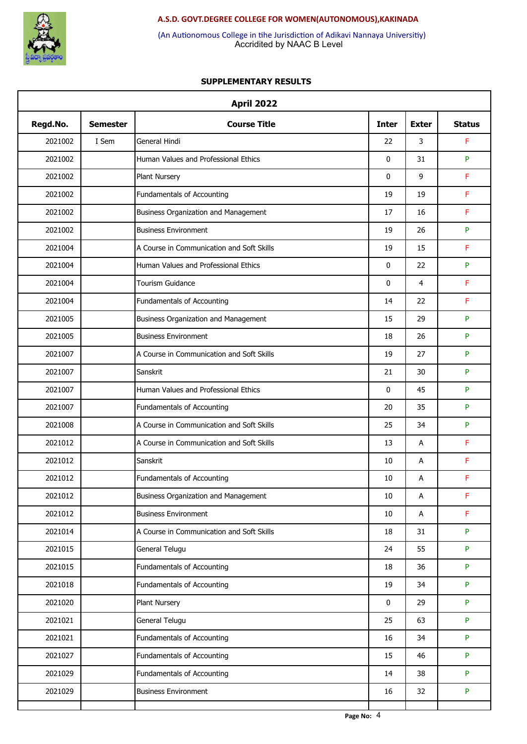

Accridited by NAAC B Level (An Autionomous College in tihe Jurisdiction of Adikavi Nannaya Universitiy)

|          |                 | <b>April 2022</b>                           |              |                |               |
|----------|-----------------|---------------------------------------------|--------------|----------------|---------------|
| Regd.No. | <b>Semester</b> | <b>Course Title</b>                         | <b>Inter</b> | <b>Exter</b>   | <b>Status</b> |
| 2021002  | I Sem           | General Hindi                               | 22           | 3              | F             |
| 2021002  |                 | Human Values and Professional Ethics        | 0            | 31             | P             |
| 2021002  |                 | <b>Plant Nursery</b>                        | 0            | 9              | F             |
| 2021002  |                 | Fundamentals of Accounting                  | 19           | 19             | F             |
| 2021002  |                 | <b>Business Organization and Management</b> | 17           | 16             | F             |
| 2021002  |                 | <b>Business Environment</b>                 | 19           | 26             | P             |
| 2021004  |                 | A Course in Communication and Soft Skills   | 19           | 15             | F             |
| 2021004  |                 | Human Values and Professional Ethics        | 0            | 22             | P             |
| 2021004  |                 | Tourism Guidance                            | 0            | $\overline{4}$ | F             |
| 2021004  |                 | Fundamentals of Accounting                  | 14           | 22             | F             |
| 2021005  |                 | Business Organization and Management        | 15           | 29             | P             |
| 2021005  |                 | <b>Business Environment</b>                 | 18           | 26             | P             |
| 2021007  |                 | A Course in Communication and Soft Skills   | 19           | 27             | P             |
| 2021007  |                 | Sanskrit                                    | 21           | 30             | P             |
| 2021007  |                 | Human Values and Professional Ethics        | $\mathbf{0}$ | 45             | P             |
| 2021007  |                 | Fundamentals of Accounting                  | 20           | 35             | P             |
| 2021008  |                 | A Course in Communication and Soft Skills   | 25           | 34             | P             |
| 2021012  |                 | A Course in Communication and Soft Skills   | 13           | Α              | F             |
| 2021012  |                 | Sanskrit                                    | 10           | Α              | F             |
| 2021012  |                 | Fundamentals of Accounting                  | 10           | Α              | F             |
| 2021012  |                 | <b>Business Organization and Management</b> | $10\,$       | Α              | F             |
| 2021012  |                 | <b>Business Environment</b>                 | 10           | A              | F             |
| 2021014  |                 | A Course in Communication and Soft Skills   | 18           | 31             | P             |
| 2021015  |                 | General Telugu                              | 24           | 55             | P             |
| 2021015  |                 | Fundamentals of Accounting                  | 18           | 36             | P             |
| 2021018  |                 | Fundamentals of Accounting                  | 19           | 34             | P             |
| 2021020  |                 | <b>Plant Nursery</b>                        | 0            | 29             | P             |
| 2021021  |                 | General Telugu                              | 25           | 63             | P             |
| 2021021  |                 | Fundamentals of Accounting                  | 16           | 34             | P             |
| 2021027  |                 | Fundamentals of Accounting                  | 15           | 46             | P             |
| 2021029  |                 | Fundamentals of Accounting                  | 14           | 38             | P             |
| 2021029  |                 | <b>Business Environment</b>                 | 16           | 32             | P             |
|          |                 |                                             |              |                |               |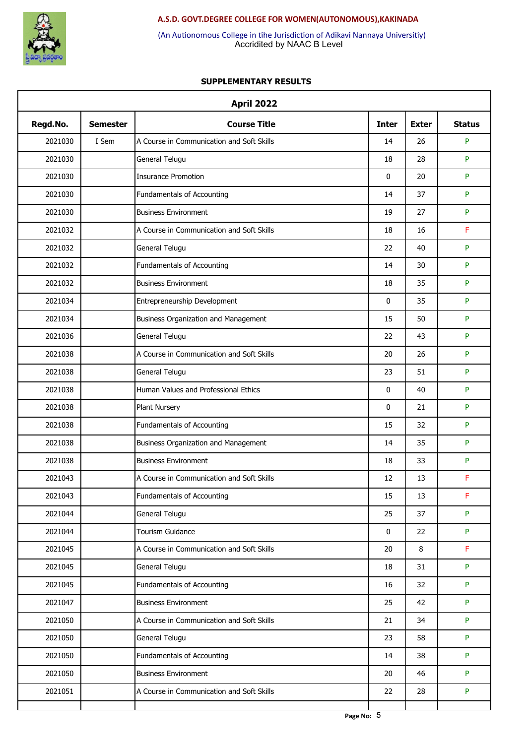

Accridited by NAAC B Level (An Autionomous College in tihe Jurisdiction of Adikavi Nannaya Universitiy)

|          |                 | <b>April 2022</b>                           |              |              |               |
|----------|-----------------|---------------------------------------------|--------------|--------------|---------------|
| Regd.No. | <b>Semester</b> | <b>Course Title</b>                         | <b>Inter</b> | <b>Exter</b> | <b>Status</b> |
| 2021030  | I Sem           | A Course in Communication and Soft Skills   | 14           | 26           | P             |
| 2021030  |                 | General Telugu                              | 18           | 28           | P             |
| 2021030  |                 | <b>Insurance Promotion</b>                  | 0            | 20           | P             |
| 2021030  |                 | Fundamentals of Accounting                  | 14           | 37           | P             |
| 2021030  |                 | <b>Business Environment</b>                 | 19           | 27           | P             |
| 2021032  |                 | A Course in Communication and Soft Skills   | 18           | 16           | F             |
| 2021032  |                 | General Telugu                              | 22           | 40           | P             |
| 2021032  |                 | Fundamentals of Accounting                  | 14           | 30           | P             |
| 2021032  |                 | <b>Business Environment</b>                 | 18           | 35           | P             |
| 2021034  |                 | Entrepreneurship Development                | 0            | 35           | P             |
| 2021034  |                 | <b>Business Organization and Management</b> | 15           | 50           | P             |
| 2021036  |                 | General Telugu                              | 22           | 43           | P             |
| 2021038  |                 | A Course in Communication and Soft Skills   | 20           | 26           | P             |
| 2021038  |                 | General Telugu                              | 23           | 51           | P             |
| 2021038  |                 | Human Values and Professional Ethics        | $\mathbf{0}$ | 40           | P             |
| 2021038  |                 | Plant Nursery                               | 0            | 21           | P             |
| 2021038  |                 | Fundamentals of Accounting                  | 15           | 32           | P             |
| 2021038  |                 | Business Organization and Management        | 14           | 35           | P             |
| 2021038  |                 | <b>Business Environment</b>                 | 18           | 33           | P             |
| 2021043  |                 | A Course in Communication and Soft Skills   | 12           | 13           | F             |
| 2021043  |                 | Fundamentals of Accounting                  | 15           | 13           | F             |
| 2021044  |                 | General Telugu                              | 25           | 37           | P             |
| 2021044  |                 | <b>Tourism Guidance</b>                     | 0            | 22           | P             |
| 2021045  |                 | A Course in Communication and Soft Skills   | 20           | 8            | F             |
| 2021045  |                 | General Telugu                              | 18           | 31           | P             |
| 2021045  |                 | Fundamentals of Accounting                  | 16           | 32           | P             |
| 2021047  |                 | <b>Business Environment</b>                 | 25           | 42           | P             |
| 2021050  |                 | A Course in Communication and Soft Skills   | 21           | 34           | P             |
| 2021050  |                 | General Telugu                              | 23           | 58           | P             |
| 2021050  |                 | Fundamentals of Accounting                  | 14           | 38           | P             |
| 2021050  |                 | <b>Business Environment</b>                 | 20           | 46           | P             |
| 2021051  |                 | A Course in Communication and Soft Skills   | 22           | 28           | P             |
|          |                 |                                             |              |              |               |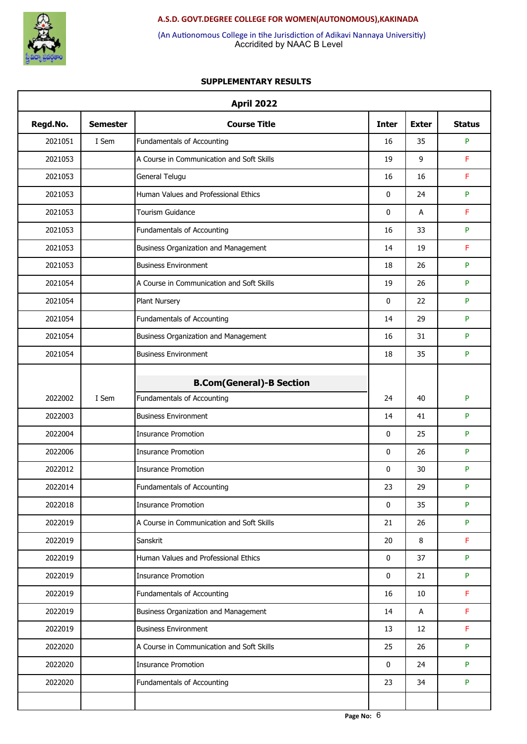

Accridited by NAAC B Level (An Autionomous College in tihe Jurisdiction of Adikavi Nannaya Universitiy)

|          |                 | <b>April 2022</b>                                             |              |              |               |
|----------|-----------------|---------------------------------------------------------------|--------------|--------------|---------------|
| Regd.No. | <b>Semester</b> | <b>Course Title</b>                                           | <b>Inter</b> | <b>Exter</b> | <b>Status</b> |
| 2021051  | I Sem           | Fundamentals of Accounting                                    | 16           | 35           | P             |
| 2021053  |                 | A Course in Communication and Soft Skills                     | 19           | 9            | F             |
| 2021053  |                 | General Telugu                                                | 16           | 16           | F             |
| 2021053  |                 | Human Values and Professional Ethics                          | $\mathbf 0$  | 24           | P             |
| 2021053  |                 | Tourism Guidance                                              | $\mathbf 0$  | Α            | F             |
| 2021053  |                 | Fundamentals of Accounting                                    | 16           | 33           | P             |
| 2021053  |                 | Business Organization and Management                          | 14           | 19           | F             |
| 2021053  |                 | <b>Business Environment</b>                                   | 18           | 26           | P             |
| 2021054  |                 | A Course in Communication and Soft Skills                     | 19           | 26           | P             |
| 2021054  |                 | Plant Nursery                                                 | $\mathbf 0$  | 22           | P             |
| 2021054  |                 | Fundamentals of Accounting                                    | 14           | 29           | P             |
| 2021054  |                 | Business Organization and Management                          | 16           | 31           | P             |
| 2021054  |                 | <b>Business Environment</b>                                   | 18           | 35           | P             |
|          |                 |                                                               |              |              |               |
| 2022002  | I Sem           | <b>B.Com(General)-B Section</b><br>Fundamentals of Accounting | 24           | 40           | P             |
| 2022003  |                 | <b>Business Environment</b>                                   | 14           | 41           | P             |
| 2022004  |                 | <b>Insurance Promotion</b>                                    | 0            | 25           | P             |
| 2022006  |                 | <b>Insurance Promotion</b>                                    | $\mathbf 0$  | 26           | P             |
| 2022012  |                 | <b>Insurance Promotion</b>                                    | 0            | 30           | P             |
| 2022014  |                 | Fundamentals of Accounting                                    | 23           | 29           | P             |
| 2022018  |                 | <b>Insurance Promotion</b>                                    | 0            | 35           | P             |
| 2022019  |                 | A Course in Communication and Soft Skills                     | 21           | 26           | P             |
| 2022019  |                 | Sanskrit                                                      | 20           | 8            | F             |
| 2022019  |                 | Human Values and Professional Ethics                          | 0            | 37           | P             |
| 2022019  |                 | <b>Insurance Promotion</b>                                    | 0            | 21           | P             |
| 2022019  |                 | <b>Fundamentals of Accounting</b>                             | 16           | 10           | F             |
| 2022019  |                 | Business Organization and Management                          | 14           | $\mathsf{A}$ | F             |
| 2022019  |                 | <b>Business Environment</b>                                   | 13           | 12           | F             |
| 2022020  |                 | A Course in Communication and Soft Skills                     | 25           | 26           | P             |
| 2022020  |                 | <b>Insurance Promotion</b>                                    | 0            | 24           | P             |
| 2022020  |                 | Fundamentals of Accounting                                    | 23           | 34           | P             |
|          |                 |                                                               |              |              |               |
|          |                 |                                                               |              |              |               |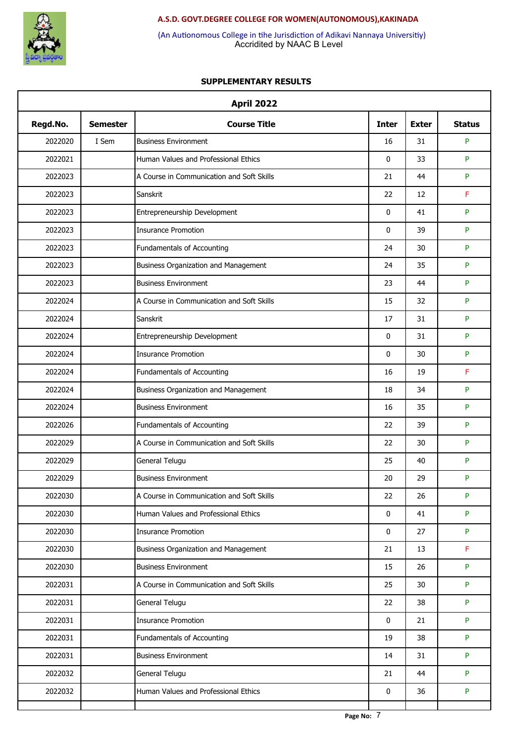

Accridited by NAAC B Level (An Autionomous College in tihe Jurisdiction of Adikavi Nannaya Universitiy)

|          |                 | <b>April 2022</b>                         |              |              |               |
|----------|-----------------|-------------------------------------------|--------------|--------------|---------------|
| Regd.No. | <b>Semester</b> | <b>Course Title</b>                       | <b>Inter</b> | <b>Exter</b> | <b>Status</b> |
| 2022020  | I Sem           | <b>Business Environment</b>               | 16           | 31           | P             |
| 2022021  |                 | Human Values and Professional Ethics      | 0            | 33           | P             |
| 2022023  |                 | A Course in Communication and Soft Skills | 21           | 44           | P             |
| 2022023  |                 | Sanskrit                                  | 22           | 12           | F             |
| 2022023  |                 | Entrepreneurship Development              | 0            | 41           | P             |
| 2022023  |                 | <b>Insurance Promotion</b>                | $\mathbf{0}$ | 39           | P             |
| 2022023  |                 | Fundamentals of Accounting                | 24           | 30           | P             |
| 2022023  |                 | Business Organization and Management      | 24           | 35           | P             |
| 2022023  |                 | <b>Business Environment</b>               | 23           | 44           | P             |
| 2022024  |                 | A Course in Communication and Soft Skills | 15           | 32           | P             |
| 2022024  |                 | Sanskrit                                  | 17           | 31           | P             |
| 2022024  |                 | Entrepreneurship Development              | 0            | 31           | P             |
| 2022024  |                 | <b>Insurance Promotion</b>                | 0            | 30           | P             |
| 2022024  |                 | Fundamentals of Accounting                | 16           | 19           | F             |
| 2022024  |                 | Business Organization and Management      | 18           | 34           | P             |
| 2022024  |                 | <b>Business Environment</b>               | 16           | 35           | P             |
| 2022026  |                 | Fundamentals of Accounting                | 22           | 39           | P             |
| 2022029  |                 | A Course in Communication and Soft Skills | 22           | 30           | P             |
| 2022029  |                 | General Telugu                            | 25           | 40           | P             |
| 2022029  |                 | <b>Business Environment</b>               | 20           | 29           | P             |
| 2022030  |                 | A Course in Communication and Soft Skills | 22           | 26           | P             |
| 2022030  |                 | Human Values and Professional Ethics      | 0            | 41           | P             |
| 2022030  |                 | <b>Insurance Promotion</b>                | 0            | 27           | P             |
| 2022030  |                 | Business Organization and Management      | 21           | 13           | F             |
| 2022030  |                 | <b>Business Environment</b>               | 15           | 26           | P             |
| 2022031  |                 | A Course in Communication and Soft Skills | 25           | 30           | P             |
| 2022031  |                 | General Telugu                            | 22           | 38           | P             |
| 2022031  |                 | <b>Insurance Promotion</b>                | 0            | 21           | P             |
| 2022031  |                 | Fundamentals of Accounting                | 19           | 38           | P             |
| 2022031  |                 | <b>Business Environment</b>               | 14           | 31           | P             |
| 2022032  |                 | General Telugu                            | 21           | 44           | P             |
| 2022032  |                 | Human Values and Professional Ethics      | 0            | 36           | P             |
|          |                 |                                           |              |              |               |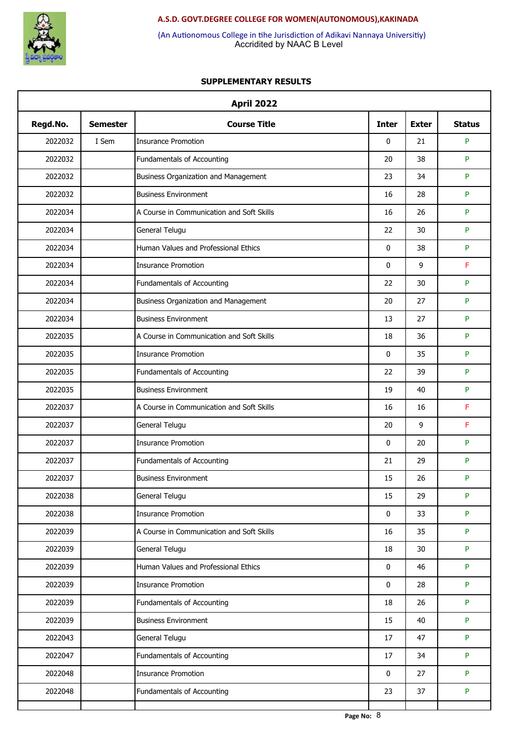

Accridited by NAAC B Level (An Autionomous College in tihe Jurisdiction of Adikavi Nannaya Universitiy)

|          |                 | <b>April 2022</b>                         |              |              |               |
|----------|-----------------|-------------------------------------------|--------------|--------------|---------------|
| Regd.No. | <b>Semester</b> | <b>Course Title</b>                       | <b>Inter</b> | <b>Exter</b> | <b>Status</b> |
| 2022032  | I Sem           | <b>Insurance Promotion</b>                | 0            | 21           | P             |
| 2022032  |                 | Fundamentals of Accounting                | 20           | 38           | P             |
| 2022032  |                 | Business Organization and Management      | 23           | 34           | P             |
| 2022032  |                 | <b>Business Environment</b>               | 16           | 28           | P             |
| 2022034  |                 | A Course in Communication and Soft Skills | 16           | 26           | P             |
| 2022034  |                 | General Telugu                            | 22           | 30           | P             |
| 2022034  |                 | Human Values and Professional Ethics      | 0            | 38           | P             |
| 2022034  |                 | <b>Insurance Promotion</b>                | 0            | 9            | F             |
| 2022034  |                 | Fundamentals of Accounting                | 22           | 30           | P             |
| 2022034  |                 | Business Organization and Management      | 20           | 27           | P             |
| 2022034  |                 | <b>Business Environment</b>               | 13           | 27           | P             |
| 2022035  |                 | A Course in Communication and Soft Skills | 18           | 36           | P             |
| 2022035  |                 | <b>Insurance Promotion</b>                | 0            | 35           | P             |
| 2022035  |                 | Fundamentals of Accounting                | 22           | 39           | P             |
| 2022035  |                 | <b>Business Environment</b>               | 19           | 40           | P             |
| 2022037  |                 | A Course in Communication and Soft Skills | 16           | 16           | F             |
| 2022037  |                 | General Telugu                            | 20           | 9            | F             |
| 2022037  |                 | <b>Insurance Promotion</b>                | 0            | 20           | P             |
| 2022037  |                 | Fundamentals of Accounting                | 21           | 29           | P             |
| 2022037  |                 | <b>Business Environment</b>               | 15           | 26           | P             |
| 2022038  |                 | General Telugu                            | 15           | 29           | P             |
| 2022038  |                 | <b>Insurance Promotion</b>                | 0            | 33           | P             |
| 2022039  |                 | A Course in Communication and Soft Skills | 16           | 35           | P             |
| 2022039  |                 | General Telugu                            | 18           | 30           | P             |
| 2022039  |                 | Human Values and Professional Ethics      | 0            | 46           | P             |
| 2022039  |                 | <b>Insurance Promotion</b>                | 0            | 28           | P             |
| 2022039  |                 | Fundamentals of Accounting                | 18           | 26           | P             |
| 2022039  |                 | <b>Business Environment</b>               | 15           | 40           | P             |
| 2022043  |                 | General Telugu                            | 17           | 47           | P             |
| 2022047  |                 | Fundamentals of Accounting                | 17           | 34           | P             |
| 2022048  |                 | <b>Insurance Promotion</b>                | 0            | 27           | P             |
| 2022048  |                 | Fundamentals of Accounting                | 23           | 37           | P             |
|          |                 |                                           |              |              |               |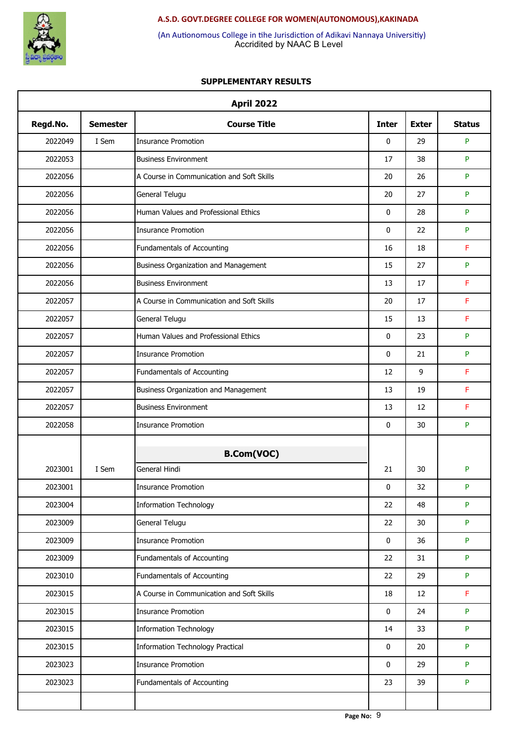

Accridited by NAAC B Level (An Autionomous College in tihe Jurisdiction of Adikavi Nannaya Universitiy)

|          |                 | <b>April 2022</b>                         |              |              |               |
|----------|-----------------|-------------------------------------------|--------------|--------------|---------------|
| Regd.No. | <b>Semester</b> | <b>Course Title</b>                       | <b>Inter</b> | <b>Exter</b> | <b>Status</b> |
| 2022049  | I Sem           | <b>Insurance Promotion</b>                | 0            | 29           | P             |
| 2022053  |                 | <b>Business Environment</b>               | 17           | 38           | P             |
| 2022056  |                 | A Course in Communication and Soft Skills | 20           | 26           | P             |
| 2022056  |                 | General Telugu                            | 20           | 27           | P             |
| 2022056  |                 | Human Values and Professional Ethics      | 0            | 28           | P             |
| 2022056  |                 | <b>Insurance Promotion</b>                | 0            | 22           | P             |
| 2022056  |                 | Fundamentals of Accounting                | 16           | 18           | F             |
| 2022056  |                 | Business Organization and Management      | 15           | 27           | P             |
| 2022056  |                 | <b>Business Environment</b>               | 13           | 17           | F             |
| 2022057  |                 | A Course in Communication and Soft Skills | 20           | 17           | F             |
| 2022057  |                 | General Telugu                            | 15           | 13           | F             |
| 2022057  |                 | Human Values and Professional Ethics      | 0            | 23           | P             |
| 2022057  |                 | <b>Insurance Promotion</b>                | 0            | 21           | P             |
| 2022057  |                 | Fundamentals of Accounting                | 12           | 9            | F             |
| 2022057  |                 | Business Organization and Management      | 13           | 19           | F             |
| 2022057  |                 | <b>Business Environment</b>               | 13           | 12           | F             |
| 2022058  |                 | <b>Insurance Promotion</b>                | 0            | 30           | P             |
|          |                 |                                           |              |              |               |
|          |                 | <b>B.Com(VOC)</b>                         |              |              |               |
| 2023001  | I Sem           | General Hindi                             | 21           | 30           | P             |
| 2023001  |                 | Insurance Promotion                       | 0            | 32           | P             |
| 2023004  |                 | <b>Information Technology</b>             | 22           | 48           | P             |
| 2023009  |                 | General Telugu                            | 22           | 30           | P             |
| 2023009  |                 | <b>Insurance Promotion</b>                | 0            | 36           | P             |
| 2023009  |                 | Fundamentals of Accounting                | 22           | 31           | P             |
| 2023010  |                 | Fundamentals of Accounting                | 22           | 29           | P             |
| 2023015  |                 | A Course in Communication and Soft Skills | 18           | 12           | F             |
| 2023015  |                 | <b>Insurance Promotion</b>                | 0            | 24           | P             |
| 2023015  |                 | <b>Information Technology</b>             | 14           | 33           | P             |
| 2023015  |                 | <b>Information Technology Practical</b>   | 0            | 20           | P             |
| 2023023  |                 | <b>Insurance Promotion</b>                | 0            | 29           | P             |
| 2023023  |                 | Fundamentals of Accounting                | 23           | 39           | P             |
|          |                 |                                           |              |              |               |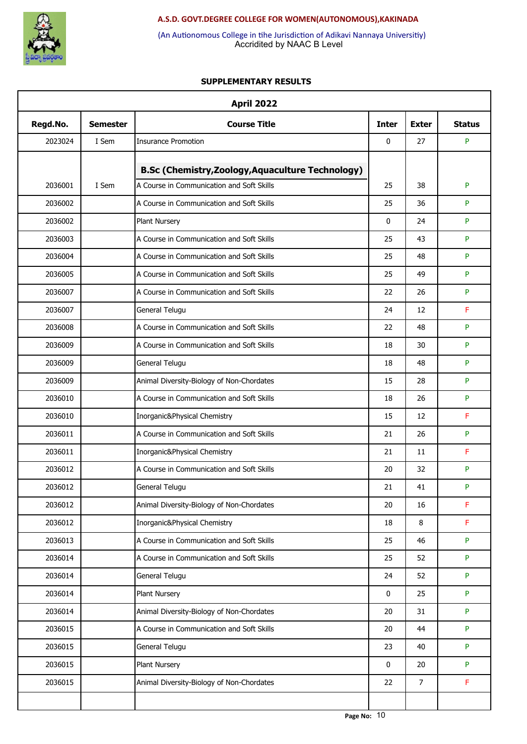

Accridited by NAAC B Level (An Autionomous College in tihe Jurisdiction of Adikavi Nannaya Universitiy)

| Regd.No. | <b>Semester</b> | <b>Course Title</b>                                      | <b>Inter</b> | <b>Exter</b>   | <b>Status</b> |
|----------|-----------------|----------------------------------------------------------|--------------|----------------|---------------|
| 2023024  | I Sem           | <b>Insurance Promotion</b>                               | $\mathbf{0}$ | 27             | P             |
|          |                 | <b>B.Sc (Chemistry, Zoology, Aquaculture Technology)</b> |              |                |               |
| 2036001  | I Sem           | A Course in Communication and Soft Skills                | 25           | 38             | P             |
| 2036002  |                 | A Course in Communication and Soft Skills                | 25           | 36             | P             |
| 2036002  |                 | Plant Nursery                                            | 0            | 24             | P             |
| 2036003  |                 | A Course in Communication and Soft Skills                | 25           | 43             | P             |
| 2036004  |                 | A Course in Communication and Soft Skills                | 25           | 48             | P             |
| 2036005  |                 | A Course in Communication and Soft Skills                | 25           | 49             | P             |
| 2036007  |                 | A Course in Communication and Soft Skills                | 22           | 26             | P             |
| 2036007  |                 | General Telugu                                           | 24           | 12             | F             |
| 2036008  |                 | A Course in Communication and Soft Skills                | 22           | 48             | P             |
| 2036009  |                 | A Course in Communication and Soft Skills                | 18           | 30             | P             |
| 2036009  |                 | General Telugu                                           | 18           | 48             | P             |
| 2036009  |                 | Animal Diversity-Biology of Non-Chordates                | 15           | 28             | P             |
| 2036010  |                 | A Course in Communication and Soft Skills                | 18           | 26             | P             |
| 2036010  |                 | Inorganic&Physical Chemistry                             | 15           | 12             | F             |
| 2036011  |                 | A Course in Communication and Soft Skills                | 21           | 26             | P             |
| 2036011  |                 | Inorganic&Physical Chemistry                             | 21           | 11             | F             |
| 2036012  |                 | A Course in Communication and Soft Skills                | 20           | 32             | P             |
| 2036012  |                 | General Telugu                                           | 21           | 41             | P             |
| 2036012  |                 | Animal Diversity-Biology of Non-Chordates                | 20           | 16             | F             |
| 2036012  |                 | Inorganic&Physical Chemistry                             | 18           | 8              | F             |
| 2036013  |                 | A Course in Communication and Soft Skills                | 25           | 46             | P             |
| 2036014  |                 | A Course in Communication and Soft Skills                | 25           | 52             | P             |
| 2036014  |                 | General Telugu                                           | 24           | 52             | P             |
| 2036014  |                 | Plant Nursery                                            | 0            | 25             | P             |
| 2036014  |                 | Animal Diversity-Biology of Non-Chordates                | 20           | 31             | P             |
| 2036015  |                 | A Course in Communication and Soft Skills                | 20           | 44             | P             |
| 2036015  |                 | General Telugu                                           | 23           | 40             | P             |
| 2036015  |                 | Plant Nursery                                            | 0            | 20             | P             |
| 2036015  |                 | Animal Diversity-Biology of Non-Chordates                | 22           | $\overline{7}$ | F             |
|          |                 |                                                          |              |                |               |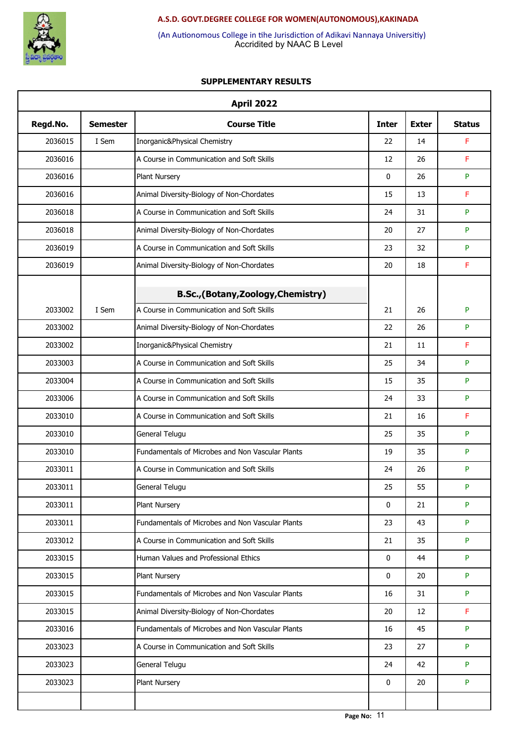

Accridited by NAAC B Level (An Autionomous College in tihe Jurisdiction of Adikavi Nannaya Universitiy)

| <b>April 2022</b> |                 |                                                  |              |              |               |  |  |
|-------------------|-----------------|--------------------------------------------------|--------------|--------------|---------------|--|--|
| Regd.No.          | <b>Semester</b> | <b>Course Title</b>                              | <b>Inter</b> | <b>Exter</b> | <b>Status</b> |  |  |
| 2036015           | I Sem           | Inorganic&Physical Chemistry                     | 22           | 14           | F             |  |  |
| 2036016           |                 | A Course in Communication and Soft Skills        | 12           | 26           | F             |  |  |
| 2036016           |                 | Plant Nursery                                    | 0            | 26           | P             |  |  |
| 2036016           |                 | Animal Diversity-Biology of Non-Chordates        | 15           | 13           | F             |  |  |
| 2036018           |                 | A Course in Communication and Soft Skills        | 24           | 31           | P             |  |  |
| 2036018           |                 | Animal Diversity-Biology of Non-Chordates        | 20           | 27           | P             |  |  |
| 2036019           |                 | A Course in Communication and Soft Skills        | 23           | 32           | P             |  |  |
| 2036019           |                 | Animal Diversity-Biology of Non-Chordates        | 20           | 18           | F             |  |  |
|                   |                 | B.Sc.,(Botany,Zoology,Chemistry)                 |              |              |               |  |  |
| 2033002           | I Sem           | A Course in Communication and Soft Skills        | 21           | 26           | ${\sf P}$     |  |  |
| 2033002           |                 | Animal Diversity-Biology of Non-Chordates        | 22           | 26           | P             |  |  |
| 2033002           |                 | Inorganic&Physical Chemistry                     | 21           | 11           | F             |  |  |
| 2033003           |                 | A Course in Communication and Soft Skills        | 25           | 34           | P             |  |  |
| 2033004           |                 | A Course in Communication and Soft Skills        | 15           | 35           | P             |  |  |
| 2033006           |                 | A Course in Communication and Soft Skills        | 24           | 33           | P             |  |  |
| 2033010           |                 | A Course in Communication and Soft Skills        | 21           | 16           | F             |  |  |
| 2033010           |                 | General Telugu                                   | 25           | 35           | P             |  |  |
| 2033010           |                 | Fundamentals of Microbes and Non Vascular Plants | 19           | 35           | P             |  |  |
| 2033011           |                 | A Course in Communication and Soft Skills        | 24           | 26           | P             |  |  |
| 2033011           |                 | General Telugu                                   | 25           | 55           | P             |  |  |
| 2033011           |                 | Plant Nursery                                    | 0            | 21           | P             |  |  |
| 2033011           |                 | Fundamentals of Microbes and Non Vascular Plants | 23           | 43           | P             |  |  |
| 2033012           |                 | A Course in Communication and Soft Skills        | 21           | 35           | P             |  |  |
| 2033015           |                 | Human Values and Professional Ethics             | 0            | 44           | P             |  |  |
| 2033015           |                 | Plant Nursery                                    | 0            | 20           | P             |  |  |
| 2033015           |                 | Fundamentals of Microbes and Non Vascular Plants | 16           | 31           | P             |  |  |
| 2033015           |                 | Animal Diversity-Biology of Non-Chordates        | 20           | 12           | F             |  |  |
| 2033016           |                 | Fundamentals of Microbes and Non Vascular Plants | 16           | 45           | P             |  |  |
| 2033023           |                 | A Course in Communication and Soft Skills        | 23           | 27           | P             |  |  |
| 2033023           |                 | General Telugu                                   | 24           | 42           | P             |  |  |
| 2033023           |                 | Plant Nursery                                    | 0            | 20           | P             |  |  |
|                   |                 |                                                  |              |              |               |  |  |
|                   |                 |                                                  |              |              |               |  |  |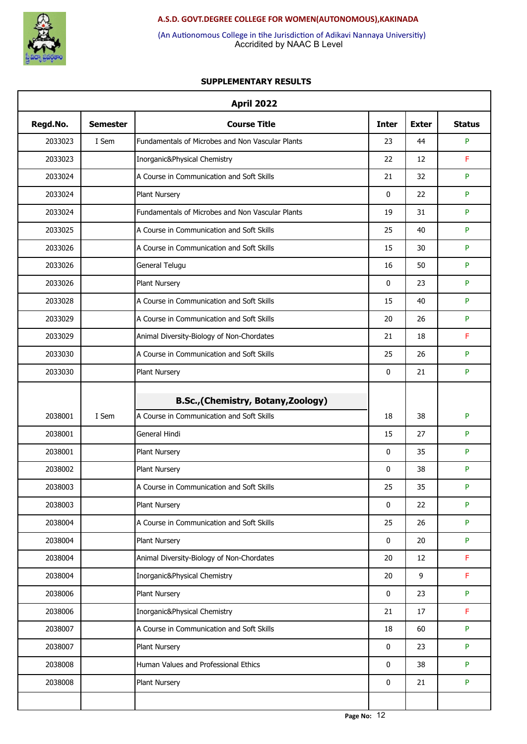

Accridited by NAAC B Level (An Autionomous College in tihe Jurisdiction of Adikavi Nannaya Universitiy)

| <b>April 2022</b>  |                 |                                                                                  |              |              |               |  |  |  |
|--------------------|-----------------|----------------------------------------------------------------------------------|--------------|--------------|---------------|--|--|--|
| Regd.No.           | <b>Semester</b> | <b>Course Title</b>                                                              | <b>Inter</b> | <b>Exter</b> | <b>Status</b> |  |  |  |
| 2033023            | I Sem           | Fundamentals of Microbes and Non Vascular Plants                                 | 23           | 44           | P             |  |  |  |
| 2033023            |                 | Inorganic&Physical Chemistry                                                     | 22           | 12           | F             |  |  |  |
| 2033024            |                 | A Course in Communication and Soft Skills                                        | 21           | 32           | P             |  |  |  |
| 2033024            |                 | Plant Nursery                                                                    | $\mathbf 0$  | 22           | P             |  |  |  |
| 2033024            |                 | Fundamentals of Microbes and Non Vascular Plants                                 | 19           | 31           | P             |  |  |  |
| 2033025            |                 | A Course in Communication and Soft Skills                                        | 25           | 40           | P             |  |  |  |
| 2033026            |                 | A Course in Communication and Soft Skills                                        | 15           | 30           | P             |  |  |  |
| 2033026            |                 | General Telugu                                                                   | 16           | 50           | P             |  |  |  |
| 2033026            |                 | Plant Nursery                                                                    | $\mathbf 0$  | 23           | P             |  |  |  |
| 2033028            |                 | A Course in Communication and Soft Skills                                        | 15           | 40           | P             |  |  |  |
| 2033029            |                 | A Course in Communication and Soft Skills                                        | 20           | 26           | P             |  |  |  |
| 2033029            |                 | Animal Diversity-Biology of Non-Chordates                                        | 21           | 18           | F             |  |  |  |
| 2033030            |                 | A Course in Communication and Soft Skills                                        | 25           | 26           | P             |  |  |  |
| 2033030            |                 | Plant Nursery                                                                    | $\mathbf 0$  | 21           | P             |  |  |  |
|                    |                 |                                                                                  |              |              |               |  |  |  |
| 2038001            | I Sem           | B.Sc., (Chemistry, Botany, Zoology)<br>A Course in Communication and Soft Skills | 18           | 38           | P             |  |  |  |
| 2038001            |                 | General Hindi                                                                    | 15           | 27           | P             |  |  |  |
| 2038001            |                 | Plant Nursery                                                                    | $\mathbf 0$  | 35           | P             |  |  |  |
| 2038002            |                 |                                                                                  | 0            | 38           | P             |  |  |  |
|                    |                 | Plant Nursery                                                                    | 25           |              | P             |  |  |  |
| 2038003<br>2038003 |                 | A Course in Communication and Soft Skills<br>Plant Nursery                       | 0            | 35<br>22     | P             |  |  |  |
| 2038004            |                 | A Course in Communication and Soft Skills                                        | 25           | 26           | P             |  |  |  |
| 2038004            |                 | Plant Nursery                                                                    | 0            | 20           | P             |  |  |  |
| 2038004            |                 | Animal Diversity-Biology of Non-Chordates                                        | $20\,$       | 12           | F             |  |  |  |
| 2038004            |                 | Inorganic&Physical Chemistry                                                     | 20           | 9            | F             |  |  |  |
| 2038006            |                 | Plant Nursery                                                                    | 0            | 23           | P             |  |  |  |
| 2038006            |                 | Inorganic&Physical Chemistry                                                     | 21           | 17           | F             |  |  |  |
| 2038007            |                 | A Course in Communication and Soft Skills                                        | 18           | 60           | P             |  |  |  |
| 2038007            |                 | Plant Nursery                                                                    | 0            | 23           | P             |  |  |  |
|                    |                 | Human Values and Professional Ethics                                             | $\mathbf 0$  |              |               |  |  |  |
| 2038008            |                 |                                                                                  |              | 38           | P             |  |  |  |
| 2038008            |                 | Plant Nursery                                                                    | 0            | 21           | P             |  |  |  |
|                    |                 |                                                                                  |              |              |               |  |  |  |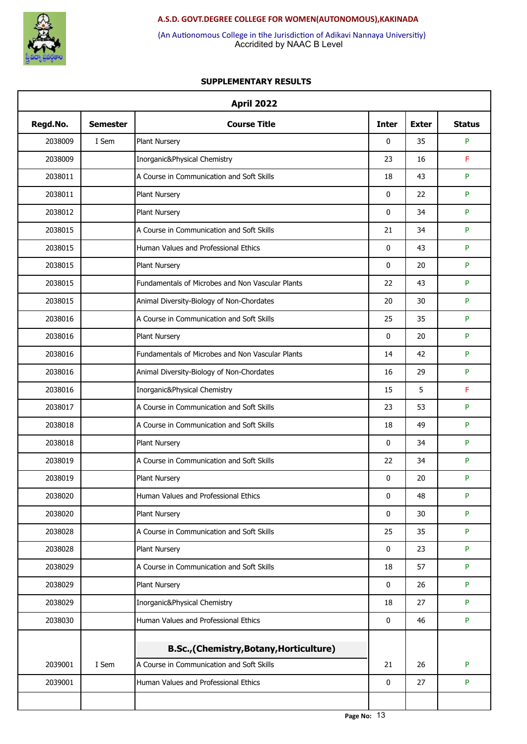

Accridited by NAAC B Level (An Autionomous College in tihe Jurisdiction of Adikavi Nannaya Universitiy)

|          |                 | <b>April 2022</b>                                |              |              |               |
|----------|-----------------|--------------------------------------------------|--------------|--------------|---------------|
| Regd.No. | <b>Semester</b> | <b>Course Title</b>                              | <b>Inter</b> | <b>Exter</b> | <b>Status</b> |
| 2038009  | I Sem           | Plant Nursery                                    | 0            | 35           | P             |
| 2038009  |                 | Inorganic&Physical Chemistry                     | 23           | 16           | F             |
| 2038011  |                 | A Course in Communication and Soft Skills        | 18           | 43           | P             |
| 2038011  |                 | Plant Nursery                                    | 0            | 22           | P             |
| 2038012  |                 | Plant Nursery                                    | 0            | 34           | P             |
| 2038015  |                 | A Course in Communication and Soft Skills        | 21           | 34           | P             |
| 2038015  |                 | Human Values and Professional Ethics             | 0            | 43           | P             |
| 2038015  |                 | Plant Nursery                                    | 0            | 20           | P             |
| 2038015  |                 | Fundamentals of Microbes and Non Vascular Plants | 22           | 43           | P             |
| 2038015  |                 | Animal Diversity-Biology of Non-Chordates        | 20           | 30           | P             |
| 2038016  |                 | A Course in Communication and Soft Skills        | 25           | 35           | P             |
| 2038016  |                 | Plant Nursery                                    | 0            | 20           | P             |
| 2038016  |                 | Fundamentals of Microbes and Non Vascular Plants | 14           | 42           | P             |
| 2038016  |                 | Animal Diversity-Biology of Non-Chordates        | 16           | 29           | P             |
| 2038016  |                 | Inorganic&Physical Chemistry                     | 15           | 5            | F             |
| 2038017  |                 | A Course in Communication and Soft Skills        | 23           | 53           | P             |
| 2038018  |                 | A Course in Communication and Soft Skills        | 18           | 49           | P             |
| 2038018  |                 | Plant Nursery                                    | 0            | 34           | P             |
| 2038019  |                 | A Course in Communication and Soft Skills        | 22           | 34           | P             |
| 2038019  |                 | <b>Plant Nursery</b>                             | 0            | 20           | P             |
| 2038020  |                 | Human Values and Professional Ethics             | 0            | 48           | P             |
| 2038020  |                 | Plant Nursery                                    | 0            | 30           | P             |
| 2038028  |                 | A Course in Communication and Soft Skills        | 25           | 35           | P             |
| 2038028  |                 | Plant Nursery                                    | 0            | 23           | P             |
| 2038029  |                 | A Course in Communication and Soft Skills        | 18           | 57           | P             |
| 2038029  |                 | Plant Nursery                                    | 0            | 26           | P             |
| 2038029  |                 | Inorganic&Physical Chemistry                     | 18           | 27           | P             |
| 2038030  |                 | Human Values and Professional Ethics             | 0            | 46           | P             |
|          |                 |                                                  |              |              |               |
|          |                 | B.Sc., (Chemistry, Botany, Horticulture)         |              |              |               |
| 2039001  | I Sem           | A Course in Communication and Soft Skills        | 21           | 26           | P             |
| 2039001  |                 | Human Values and Professional Ethics             | 0            | 27           | P             |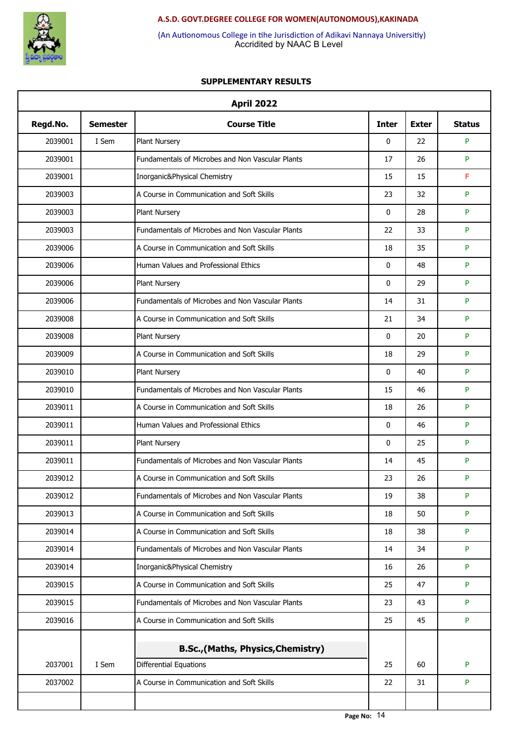

Accridited by NAAC B Level (An Autionomous College in tihe Jurisdiction of Adikavi Nannaya Universitiy)

| Regd.No. | <b>Semester</b> | <b>Course Title</b>                              | <b>Inter</b> | <b>Exter</b> | <b>Status</b> |
|----------|-----------------|--------------------------------------------------|--------------|--------------|---------------|
| 2039001  | I Sem           | Plant Nursery                                    | 0            | 22           | P             |
| 2039001  |                 | Fundamentals of Microbes and Non Vascular Plants | 17           | 26           | P             |
| 2039001  |                 | Inorganic&Physical Chemistry                     | 15           | 15           | F             |
| 2039003  |                 | A Course in Communication and Soft Skills        | 23           | 32           | P             |
| 2039003  |                 | Plant Nursery                                    | 0            | 28           | P             |
| 2039003  |                 | Fundamentals of Microbes and Non Vascular Plants | 22           | 33           | P             |
| 2039006  |                 | A Course in Communication and Soft Skills        | 18           | 35           | P             |
| 2039006  |                 | Human Values and Professional Ethics             | 0            | 48           | P             |
| 2039006  |                 | Plant Nursery                                    | $\mathbf{0}$ | 29           | P             |
| 2039006  |                 | Fundamentals of Microbes and Non Vascular Plants | 14           | 31           | P             |
| 2039008  |                 | A Course in Communication and Soft Skills        | 21           | 34           | P             |
| 2039008  |                 | Plant Nursery                                    | 0            | 20           | P             |
| 2039009  |                 | A Course in Communication and Soft Skills        | 18           | 29           | P             |
| 2039010  |                 | Plant Nursery                                    | 0            | 40           | P             |
| 2039010  |                 | Fundamentals of Microbes and Non Vascular Plants | 15           | 46           | P             |
| 2039011  |                 | A Course in Communication and Soft Skills        | 18           | 26           | P             |
| 2039011  |                 | Human Values and Professional Ethics             | 0            | 46           | P             |
| 2039011  |                 | Plant Nursery                                    | 0            | 25           | P             |
| 2039011  |                 | Fundamentals of Microbes and Non Vascular Plants | 14           | 45           | P             |
| 2039012  |                 | A Course in Communication and Soft Skills        | 23           | 26           | P             |
| 2039012  |                 | Fundamentals of Microbes and Non Vascular Plants | 19           | 38           | P             |
| 2039013  |                 | A Course in Communication and Soft Skills        | 18           | 50           | P             |
| 2039014  |                 | A Course in Communication and Soft Skills        | 18           | 38           | P             |
| 2039014  |                 | Fundamentals of Microbes and Non Vascular Plants | 14           | 34           | P             |
| 2039014  |                 | Inorganic&Physical Chemistry                     | 16           | 26           | P             |
| 2039015  |                 | A Course in Communication and Soft Skills        | 25           | 47           | P             |
| 2039015  |                 | Fundamentals of Microbes and Non Vascular Plants | 23           | 43           | P             |
| 2039016  |                 | A Course in Communication and Soft Skills        | 25           | 45           | P             |
|          |                 |                                                  |              |              |               |
|          |                 | <b>B.Sc., (Maths, Physics, Chemistry)</b>        |              |              |               |
| 2037001  | I Sem           | <b>Differential Equations</b>                    | 25           | 60           | P             |
| 2037002  |                 | A Course in Communication and Soft Skills        | 22           | 31           | P             |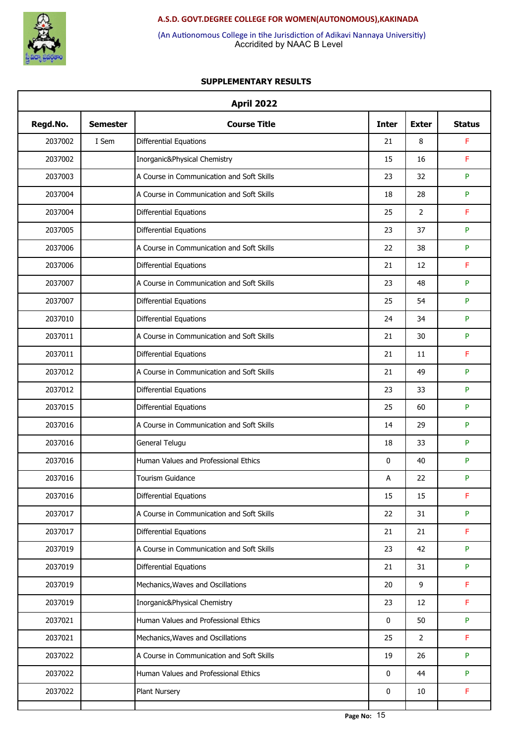

Accridited by NAAC B Level (An Autionomous College in tihe Jurisdiction of Adikavi Nannaya Universitiy)

| <b>April 2022</b> |                 |                                           |              |                |               |  |
|-------------------|-----------------|-------------------------------------------|--------------|----------------|---------------|--|
| Regd.No.          | <b>Semester</b> | <b>Course Title</b>                       | <b>Inter</b> | <b>Exter</b>   | <b>Status</b> |  |
| 2037002           | I Sem           | Differential Equations                    | 21           | 8              | F             |  |
| 2037002           |                 | Inorganic&Physical Chemistry              | 15           | 16             | F             |  |
| 2037003           |                 | A Course in Communication and Soft Skills | 23           | 32             | P             |  |
| 2037004           |                 | A Course in Communication and Soft Skills | 18           | 28             | P             |  |
| 2037004           |                 | <b>Differential Equations</b>             | 25           | $\overline{2}$ | F             |  |
| 2037005           |                 | Differential Equations                    | 23           | 37             | P             |  |
| 2037006           |                 | A Course in Communication and Soft Skills | 22           | 38             | P             |  |
| 2037006           |                 | <b>Differential Equations</b>             | 21           | 12             | F             |  |
| 2037007           |                 | A Course in Communication and Soft Skills | 23           | 48             | P             |  |
| 2037007           |                 | Differential Equations                    | 25           | 54             | P             |  |
| 2037010           |                 | Differential Equations                    | 24           | 34             | P             |  |
| 2037011           |                 | A Course in Communication and Soft Skills | 21           | 30             | P             |  |
| 2037011           |                 | <b>Differential Equations</b>             | 21           | 11             | F             |  |
| 2037012           |                 | A Course in Communication and Soft Skills | 21           | 49             | P             |  |
| 2037012           |                 | Differential Equations                    | 23           | 33             | P             |  |
| 2037015           |                 | <b>Differential Equations</b>             | 25           | 60             | P             |  |
| 2037016           |                 | A Course in Communication and Soft Skills | 14           | 29             | P             |  |
| 2037016           |                 | General Telugu                            | 18           | 33             | P             |  |
| 2037016           |                 | Human Values and Professional Ethics      | 0            | 40             | P             |  |
| 2037016           |                 | <b>Tourism Guidance</b>                   | А            | 22             | P             |  |
| 2037016           |                 | <b>Differential Equations</b>             | 15           | 15             | F             |  |
| 2037017           |                 | A Course in Communication and Soft Skills | 22           | 31             | P             |  |
| 2037017           |                 | Differential Equations                    | 21           | 21             | F             |  |
| 2037019           |                 | A Course in Communication and Soft Skills | 23           | 42             | P             |  |
| 2037019           |                 | Differential Equations                    | 21           | 31             | P             |  |
| 2037019           |                 | Mechanics, Waves and Oscillations         | 20           | 9              | F             |  |
| 2037019           |                 | Inorganic&Physical Chemistry              | 23           | 12             | F             |  |
| 2037021           |                 | Human Values and Professional Ethics      | 0            | 50             | P             |  |
| 2037021           |                 | Mechanics, Waves and Oscillations         | 25           | $\overline{2}$ | F             |  |
| 2037022           |                 | A Course in Communication and Soft Skills | 19           | 26             | P             |  |
| 2037022           |                 | Human Values and Professional Ethics      | 0            | 44             | P             |  |
| 2037022           |                 | Plant Nursery                             | 0            | 10             | F             |  |
|                   |                 |                                           |              |                |               |  |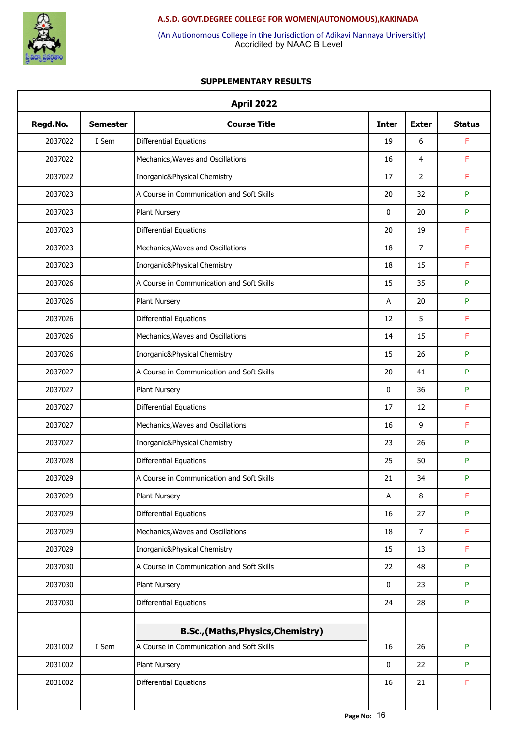

Accridited by NAAC B Level (An Autionomous College in tihe Jurisdiction of Adikavi Nannaya Universitiy)

| Regd.No. | <b>Semester</b> | <b>Course Title</b>                       | <b>Inter</b> | <b>Exter</b>   | <b>Status</b> |
|----------|-----------------|-------------------------------------------|--------------|----------------|---------------|
| 2037022  | I Sem           | Differential Equations                    | 19           | 6              | F             |
| 2037022  |                 | Mechanics, Waves and Oscillations         | 16           | 4              | F             |
| 2037022  |                 | Inorganic&Physical Chemistry              | 17           | $\overline{2}$ | F             |
| 2037023  |                 | A Course in Communication and Soft Skills | 20           | 32             | P             |
| 2037023  |                 | Plant Nursery                             | 0            | 20             | P             |
| 2037023  |                 | <b>Differential Equations</b>             | 20           | 19             | F             |
| 2037023  |                 | Mechanics, Waves and Oscillations         | 18           | $\overline{7}$ | F             |
| 2037023  |                 | Inorganic&Physical Chemistry              | 18           | 15             | F             |
| 2037026  |                 | A Course in Communication and Soft Skills | 15           | 35             | P             |
| 2037026  |                 | <b>Plant Nursery</b>                      | Α            | 20             | P             |
| 2037026  |                 | <b>Differential Equations</b>             | 12           | 5              | F             |
| 2037026  |                 | Mechanics, Waves and Oscillations         | 14           | 15             | F             |
| 2037026  |                 | Inorganic&Physical Chemistry              | 15           | 26             | P             |
| 2037027  |                 | A Course in Communication and Soft Skills | 20           | 41             | P             |
| 2037027  |                 | Plant Nursery                             | 0            | 36             | P             |
| 2037027  |                 | <b>Differential Equations</b>             | 17           | 12             | F             |
| 2037027  |                 | Mechanics, Waves and Oscillations         | 16           | 9              | F             |
| 2037027  |                 | Inorganic&Physical Chemistry              | 23           | 26             | P             |
| 2037028  |                 | Differential Equations                    | 25           | 50             | P             |
| 2037029  |                 | A Course in Communication and Soft Skills | 21           | 34             | P             |
| 2037029  |                 | Plant Nursery                             | А            | 8              | F             |
| 2037029  |                 | Differential Equations                    | 16           | 27             | P             |
| 2037029  |                 | Mechanics, Waves and Oscillations         | 18           | $\overline{7}$ | F             |
| 2037029  |                 | Inorganic&Physical Chemistry              | 15           | 13             | F             |
| 2037030  |                 | A Course in Communication and Soft Skills | 22           | 48             | P             |
| 2037030  |                 | Plant Nursery                             | 0            | 23             | P             |
| 2037030  |                 | <b>Differential Equations</b>             | 24           | 28             | P             |
|          |                 |                                           |              |                |               |
|          |                 | B.Sc.,(Maths,Physics,Chemistry)           |              |                |               |
| 2031002  | I Sem           | A Course in Communication and Soft Skills | 16           | 26             | P             |
| 2031002  |                 | Plant Nursery                             | 0            | 22             | P             |
| 2031002  |                 | Differential Equations                    | 16           | 21             | F             |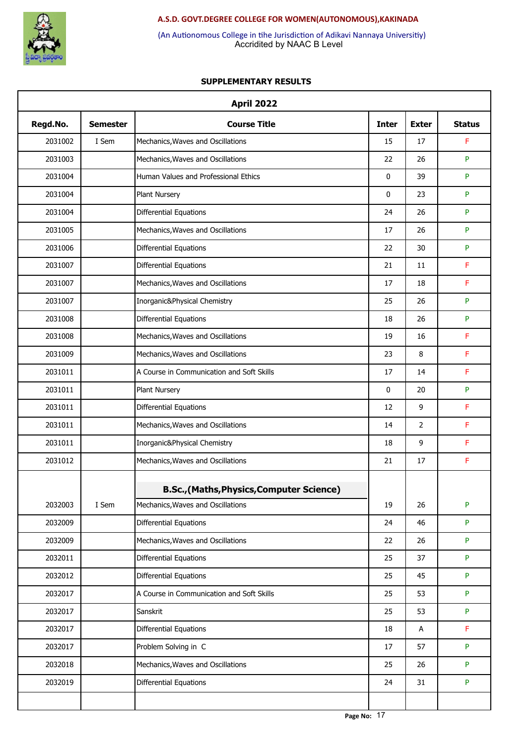

Accridited by NAAC B Level (An Autionomous College in tihe Jurisdiction of Adikavi Nannaya Universitiy)

|          |                 | <b>April 2022</b>                                |              |                |                           |
|----------|-----------------|--------------------------------------------------|--------------|----------------|---------------------------|
| Regd.No. | <b>Semester</b> | <b>Course Title</b>                              | <b>Inter</b> | <b>Exter</b>   | <b>Status</b>             |
| 2031002  | I Sem           | Mechanics, Waves and Oscillations                | 15           | 17             | F                         |
| 2031003  |                 | Mechanics, Waves and Oscillations                | 22           | 26             | P                         |
| 2031004  |                 | Human Values and Professional Ethics             | 0            | 39             | P                         |
| 2031004  |                 | Plant Nursery                                    | 0            | 23             | P                         |
| 2031004  |                 | <b>Differential Equations</b>                    | 24           | 26             | P                         |
| 2031005  |                 | Mechanics, Waves and Oscillations                | 17           | 26             | P                         |
| 2031006  |                 | <b>Differential Equations</b>                    | 22           | 30             | P                         |
| 2031007  |                 | Differential Equations                           | 21           | 11             | F                         |
| 2031007  |                 | Mechanics, Waves and Oscillations                | 17           | 18             | F                         |
| 2031007  |                 | Inorganic&Physical Chemistry                     | 25           | 26             | P                         |
| 2031008  |                 | <b>Differential Equations</b>                    | 18           | 26             | P                         |
| 2031008  |                 | Mechanics, Waves and Oscillations                | 19           | 16             | F                         |
| 2031009  |                 | Mechanics, Waves and Oscillations                | 23           | 8              | F                         |
| 2031011  |                 | A Course in Communication and Soft Skills        | 17           | 14             | F                         |
| 2031011  |                 | Plant Nursery                                    | 0            | 20             | P                         |
| 2031011  |                 | Differential Equations                           | 12           | 9              | F                         |
| 2031011  |                 | Mechanics, Waves and Oscillations                | 14           | $\overline{2}$ | F                         |
| 2031011  |                 | Inorganic&Physical Chemistry                     | 18           | 9              | F                         |
| 2031012  |                 | Mechanics, Waves and Oscillations                | 21           | 17             | F                         |
|          |                 | <b>B.Sc., (Maths, Physics, Computer Science)</b> |              |                |                           |
| 2032003  | I Sem           | Mechanics, Waves and Oscillations                | 19           | 26             | $\boldsymbol{\mathsf{P}}$ |
| 2032009  |                 | Differential Equations                           | 24           | 46             | P                         |
| 2032009  |                 | Mechanics, Waves and Oscillations                | 22           | 26             | P                         |
| 2032011  |                 | Differential Equations                           | 25           | 37             | P                         |
| 2032012  |                 | Differential Equations                           | 25           | 45             | P                         |
| 2032017  |                 | A Course in Communication and Soft Skills        | 25           | 53             | P                         |
| 2032017  |                 | Sanskrit                                         | 25           | 53             | P                         |
| 2032017  |                 | Differential Equations                           | 18           | A              | F                         |
| 2032017  |                 | Problem Solving in C                             | 17           | 57             | P                         |
| 2032018  |                 | Mechanics, Waves and Oscillations                | 25           | 26             | P                         |
| 2032019  |                 | Differential Equations                           | 24           | 31             | P                         |
|          |                 |                                                  |              |                |                           |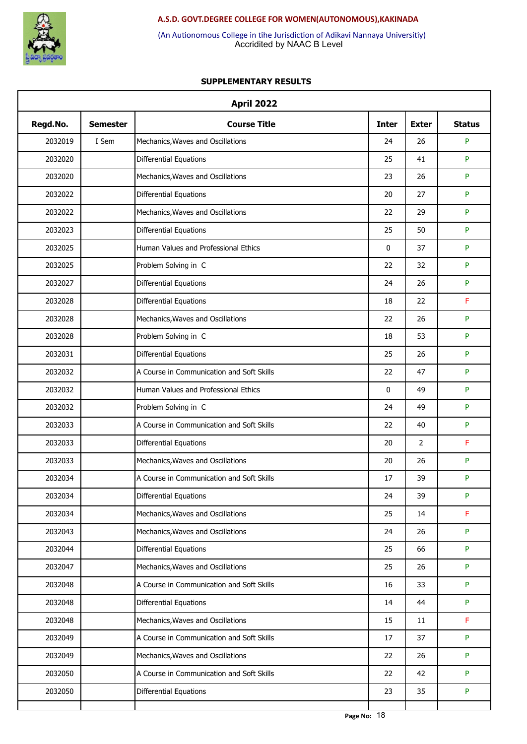

Accridited by NAAC B Level (An Autionomous College in tihe Jurisdiction of Adikavi Nannaya Universitiy)

| <b>April 2022</b> |                 |                                           |              |              |               |  |
|-------------------|-----------------|-------------------------------------------|--------------|--------------|---------------|--|
| Regd.No.          | <b>Semester</b> | <b>Course Title</b>                       | <b>Inter</b> | <b>Exter</b> | <b>Status</b> |  |
| 2032019           | I Sem           | Mechanics, Waves and Oscillations         | 24           | 26           | P             |  |
| 2032020           |                 | Differential Equations                    | 25           | 41           | P             |  |
| 2032020           |                 | Mechanics, Waves and Oscillations         | 23           | 26           | P             |  |
| 2032022           |                 | <b>Differential Equations</b>             | 20           | 27           | P             |  |
| 2032022           |                 | Mechanics, Waves and Oscillations         | 22           | 29           | P             |  |
| 2032023           |                 | Differential Equations                    | 25           | 50           | P             |  |
| 2032025           |                 | Human Values and Professional Ethics      | 0            | 37           | P             |  |
| 2032025           |                 | Problem Solving in C                      | 22           | 32           | P             |  |
| 2032027           |                 | Differential Equations                    | 24           | 26           | P             |  |
| 2032028           |                 | Differential Equations                    | 18           | 22           | F             |  |
| 2032028           |                 | Mechanics, Waves and Oscillations         | 22           | 26           | P             |  |
| 2032028           |                 | Problem Solving in C                      | 18           | 53           | P             |  |
| 2032031           |                 | <b>Differential Equations</b>             | 25           | 26           | P             |  |
| 2032032           |                 | A Course in Communication and Soft Skills | 22           | 47           | P             |  |
| 2032032           |                 | Human Values and Professional Ethics      | $\mathbf{0}$ | 49           | P             |  |
| 2032032           |                 | Problem Solving in C                      | 24           | 49           | P             |  |
| 2032033           |                 | A Course in Communication and Soft Skills | 22           | 40           | P             |  |
| 2032033           |                 | Differential Equations                    | 20           | 2            | F             |  |
| 2032033           |                 | Mechanics, Waves and Oscillations         | 20           | 26           | P             |  |
| 2032034           |                 | A Course in Communication and Soft Skills | 17           | 39           | P             |  |
| 2032034           |                 | Differential Equations                    | 24           | 39           | P             |  |
| 2032034           |                 | Mechanics, Waves and Oscillations         | 25           | 14           | F             |  |
| 2032043           |                 | Mechanics, Waves and Oscillations         | 24           | 26           | P             |  |
| 2032044           |                 | Differential Equations                    | 25           | 66           | P             |  |
| 2032047           |                 | Mechanics, Waves and Oscillations         | 25           | 26           | P             |  |
| 2032048           |                 | A Course in Communication and Soft Skills | 16           | 33           | P             |  |
| 2032048           |                 | Differential Equations                    | 14           | 44           | P             |  |
| 2032048           |                 | Mechanics, Waves and Oscillations         | 15           | 11           | F             |  |
| 2032049           |                 | A Course in Communication and Soft Skills | 17           | 37           | P             |  |
| 2032049           |                 | Mechanics, Waves and Oscillations         | 22           | 26           | P             |  |
| 2032050           |                 | A Course in Communication and Soft Skills | 22           | 42           | P             |  |
| 2032050           |                 | Differential Equations                    | 23           | 35           | P             |  |
|                   |                 |                                           |              |              |               |  |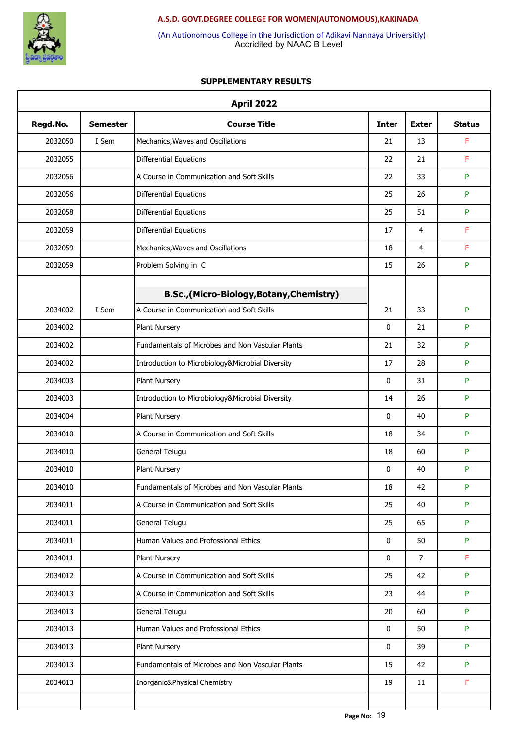

Accridited by NAAC B Level (An Autionomous College in tihe Jurisdiction of Adikavi Nannaya Universitiy)

| <b>April 2022</b> |                 |                                                  |              |                |               |  |
|-------------------|-----------------|--------------------------------------------------|--------------|----------------|---------------|--|
| Regd.No.          | <b>Semester</b> | <b>Course Title</b>                              | <b>Inter</b> | <b>Exter</b>   | <b>Status</b> |  |
| 2032050           | I Sem           | Mechanics, Waves and Oscillations                | 21           | 13             | F             |  |
| 2032055           |                 | Differential Equations                           | 22           | 21             | F             |  |
| 2032056           |                 | A Course in Communication and Soft Skills        | 22           | 33             | P             |  |
| 2032056           |                 | Differential Equations                           | 25           | 26             | P             |  |
| 2032058           |                 | Differential Equations                           | 25           | 51             | P             |  |
| 2032059           |                 | Differential Equations                           | 17           | $\overline{4}$ | F             |  |
| 2032059           |                 | Mechanics, Waves and Oscillations                | 18           | 4              | F             |  |
| 2032059           |                 | Problem Solving in C                             | 15           | 26             | P             |  |
|                   |                 | B.Sc., (Micro-Biology, Botany, Chemistry)        |              |                |               |  |
| 2034002           | I Sem           | A Course in Communication and Soft Skills        | 21           | 33             | ${\sf P}$     |  |
| 2034002           |                 | Plant Nursery                                    | 0            | 21             | P             |  |
| 2034002           |                 | Fundamentals of Microbes and Non Vascular Plants | 21           | 32             | P             |  |
| 2034002           |                 | Introduction to Microbiology&Microbial Diversity | 17           | 28             | P             |  |
| 2034003           |                 | Plant Nursery                                    | 0            | 31             | P             |  |
| 2034003           |                 | Introduction to Microbiology&Microbial Diversity | 14           | 26             | P             |  |
| 2034004           |                 | Plant Nursery                                    | $\mathbf{0}$ | 40             | P             |  |
| 2034010           |                 | A Course in Communication and Soft Skills        | 18           | 34             | P             |  |
| 2034010           |                 | General Telugu                                   | 18           | 60             | P             |  |
| 2034010           |                 | Plant Nursery                                    | 0            | 40             | P             |  |
| 2034010           |                 | Fundamentals of Microbes and Non Vascular Plants | 18           | 42             | P             |  |
| 2034011           |                 | A Course in Communication and Soft Skills        | 25           | 40             | P             |  |
| 2034011           |                 | General Telugu                                   | 25           | 65             | P             |  |
| 2034011           |                 | Human Values and Professional Ethics             | 0            | 50             | P             |  |
| 2034011           |                 | Plant Nursery                                    | 0            | $\overline{7}$ | F             |  |
| 2034012           |                 | A Course in Communication and Soft Skills        | 25           | 42             | P             |  |
| 2034013           |                 | A Course in Communication and Soft Skills        | 23           | 44             | P             |  |
| 2034013           |                 | General Telugu                                   | 20           | 60             | P             |  |
| 2034013           |                 | Human Values and Professional Ethics             | 0            | 50             | P             |  |
| 2034013           |                 | Plant Nursery                                    | 0            | 39             | P             |  |
| 2034013           |                 | Fundamentals of Microbes and Non Vascular Plants | 15           | 42             | P             |  |
| 2034013           |                 | Inorganic&Physical Chemistry                     | 19           | 11             | F             |  |
|                   |                 |                                                  |              |                |               |  |
|                   |                 |                                                  |              |                |               |  |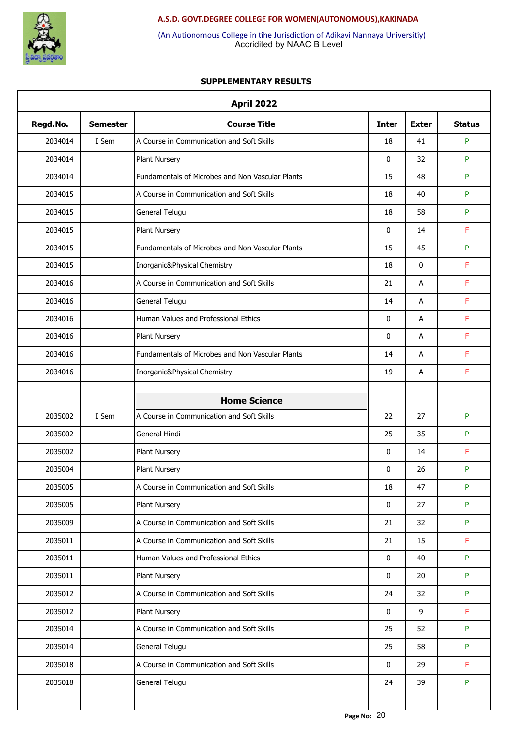

Accridited by NAAC B Level (An Autionomous College in tihe Jurisdiction of Adikavi Nannaya Universitiy)

| <b>April 2022</b> |                 |                                                                  |                   |              |               |  |
|-------------------|-----------------|------------------------------------------------------------------|-------------------|--------------|---------------|--|
| Regd.No.          | <b>Semester</b> | <b>Course Title</b>                                              | <b>Inter</b>      | <b>Exter</b> | <b>Status</b> |  |
| 2034014           | I Sem           | A Course in Communication and Soft Skills                        | 18                | 41           | P             |  |
| 2034014           |                 | Plant Nursery                                                    | $\mathbf 0$       | 32           | P             |  |
| 2034014           |                 | Fundamentals of Microbes and Non Vascular Plants                 | 15                | 48           | P             |  |
| 2034015           |                 | A Course in Communication and Soft Skills                        | 18                | 40           | P             |  |
| 2034015           |                 | General Telugu                                                   | 18                | 58           | P             |  |
| 2034015           |                 | Plant Nursery                                                    | $\mathbf 0$       | 14           | F             |  |
| 2034015           |                 | Fundamentals of Microbes and Non Vascular Plants                 | 15                | 45           | P             |  |
| 2034015           |                 | Inorganic&Physical Chemistry                                     | 18                | $\mathbf 0$  | F             |  |
| 2034016           |                 | A Course in Communication and Soft Skills                        | 21                | А            | F             |  |
| 2034016           |                 | General Telugu                                                   | 14                | А            | F             |  |
| 2034016           |                 | Human Values and Professional Ethics                             | $\mathbf 0$       | А            | F             |  |
| 2034016           |                 | Plant Nursery                                                    | $\mathbf 0$       | А            | F             |  |
| 2034016           |                 | Fundamentals of Microbes and Non Vascular Plants                 | 14                | А            | F             |  |
| 2034016           |                 | Inorganic&Physical Chemistry                                     | 19                | А            | F             |  |
|                   |                 |                                                                  |                   |              |               |  |
| 2035002           | I Sem           | <b>Home Science</b><br>A Course in Communication and Soft Skills | 22                | 27           | P             |  |
| 2035002           |                 | General Hindi                                                    | 25                | 35           | P             |  |
| 2035002           |                 | Plant Nursery                                                    | $\mathbf 0$       | 14           | F             |  |
|                   |                 |                                                                  |                   | 26           | P             |  |
| 2035004           |                 | Plant Nursery                                                    | 0                 |              | P             |  |
| 2035005           |                 | A Course in Communication and Soft Skills                        | 18<br>$\mathbf 0$ | 47           | P             |  |
| 2035005           |                 | Plant Nursery                                                    |                   | 27           |               |  |
| 2035009           |                 | A Course in Communication and Soft Skills                        | 21                | 32           | P             |  |
| 2035011           |                 | A Course in Communication and Soft Skills                        | 21                | 15           | F             |  |
| 2035011           |                 | Human Values and Professional Ethics                             | 0                 | 40           | P             |  |
| 2035011           |                 | Plant Nursery                                                    | $\mathbf 0$       | 20           | P             |  |
| 2035012           |                 | A Course in Communication and Soft Skills                        | 24                | 32           | P             |  |
| 2035012           |                 | Plant Nursery                                                    | 0                 | 9            | F             |  |
| 2035014           |                 | A Course in Communication and Soft Skills                        | 25                | 52           | P             |  |
| 2035014           |                 | General Telugu                                                   | 25                | 58           | P             |  |
| 2035018           |                 | A Course in Communication and Soft Skills                        | 0                 | 29           | F             |  |
| 2035018           |                 | General Telugu                                                   | 24                | 39           | P             |  |
|                   |                 |                                                                  |                   |              |               |  |